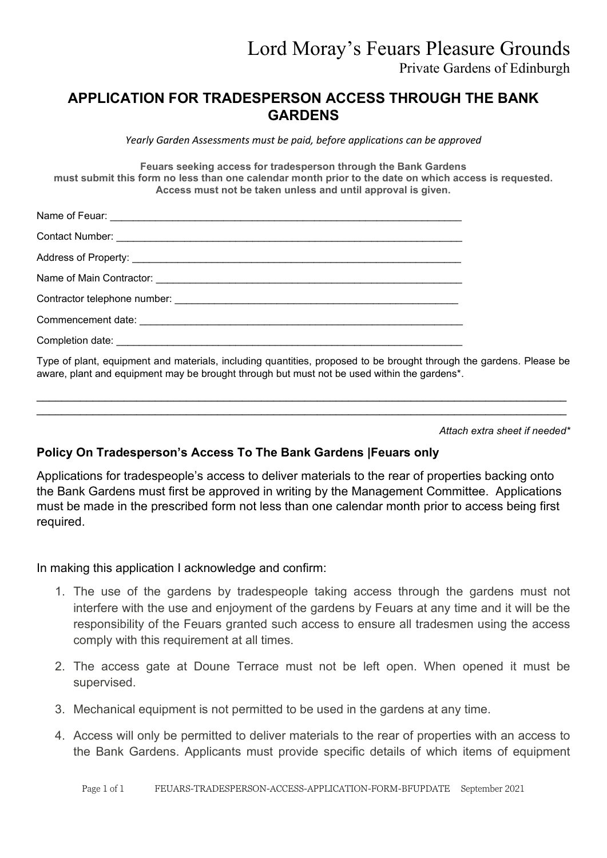## **APPLICATION FOR TRADESPERSON ACCESS THROUGH THE BANK GARDENS**

*Yearly Garden Assessments must be paid, before applications can be approved*

**Feuars seeking access for tradesperson through the Bank Gardens must submit this form no less than one calendar month prior to the date on which access is requested. Access must not be taken unless and until approval is given.**

| Type of plant, equipment and materials, including quantities, proposed to be brought through the |
|--------------------------------------------------------------------------------------------------|

gardens. Please be aware, plant and equipment may be brought through but must not be used within the gardens\*.

\_\_\_\_\_\_\_\_\_\_\_\_\_\_\_\_\_\_\_\_\_\_\_\_\_\_\_\_\_\_\_\_\_\_\_\_\_\_\_\_\_\_\_\_\_\_\_\_\_\_\_\_\_\_\_\_\_\_\_\_\_\_\_\_\_\_\_\_\_\_\_\_\_\_\_\_\_\_\_\_\_\_\_\_\_ \_\_\_\_\_\_\_\_\_\_\_\_\_\_\_\_\_\_\_\_\_\_\_\_\_\_\_\_\_\_\_\_\_\_\_\_\_\_\_\_\_\_\_\_\_\_\_\_\_\_\_\_\_\_\_\_\_\_\_\_\_\_\_\_\_\_\_\_\_\_\_\_\_\_\_\_\_\_\_\_\_\_\_\_\_

*Attach extra sheet if needed\**

## **Policy On Tradesperson's Access To The Bank Gardens |Feuars only**

Applications for tradespeople's access to deliver materials to the rear of properties backing onto the Bank Gardens must first be approved in writing by the Management Committee. Applications must be made in the prescribed form not less than one calendar month prior to access being first required.

In making this application I acknowledge and confirm:

- 1. The use of the gardens by tradespeople taking access through the gardens must not interfere with the use and enjoyment of the gardens by Feuars at any time and it will be the responsibility of the Feuars granted such access to ensure all tradesmen using the access comply with this requirement at all times.
- 2. The access gate at Doune Terrace must not be left open. When opened it must be supervised.
- 3. Mechanical equipment is not permitted to be used in the gardens at any time.
- 4. Access will only be permitted to deliver materials to the rear of properties with an access to the Bank Gardens. Applicants must provide specific details of which items of equipment